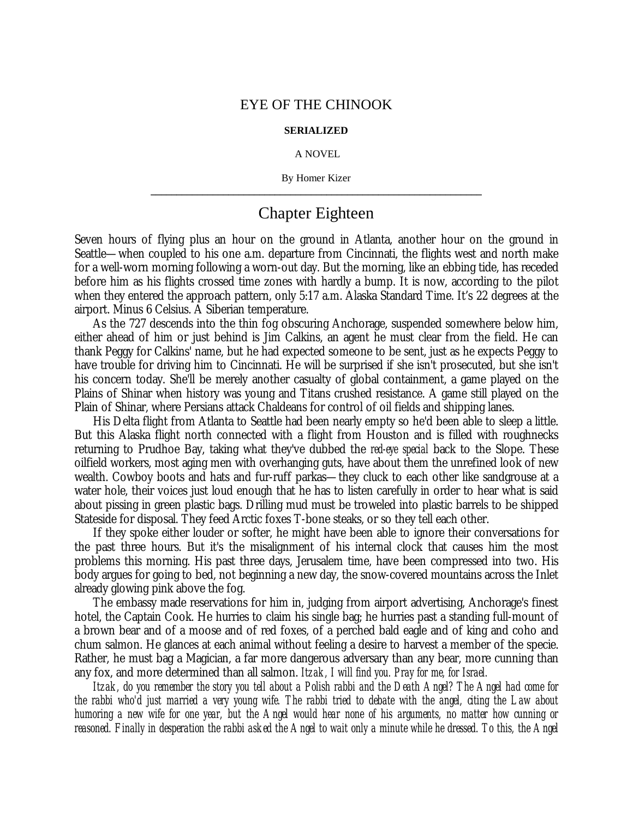## EYE OF THE CHINOOK

## **SERIALIZED**

## A NOVEL

By Homer Kizer **\_\_\_\_\_\_\_\_\_\_\_\_\_\_\_\_\_\_\_\_\_\_\_\_\_\_\_\_\_\_\_\_\_\_\_\_\_\_\_\_\_\_\_\_\_\_\_\_\_\_\_\_\_\_\_\_\_\_\_\_\_\_\_\_**

## Chapter Eighteen

Seven hours of flying plus an hour on the ground in Atlanta, another hour on the ground in Seattle— when coupled to his one a.m. departure from Cincinnati, the flights west and north make for a well-worn morning following a worn-out day. But the morning, like an ebbing tide, has receded before him as his flights crossed time zones with hardly a bump. It is now, according to the pilot when they entered the approach pattern, only 5:17 a.m. Alaska Standard Time. It's 22 degrees at the airport. Minus 6 Celsius. A Siberian temperature.

As the 727 descends into the thin fog obscuring Anchorage, suspended somewhere below him, either ahead of him or just behind is Jim Calkins, an agent he must clear from the field. He can thank Peggy for Calkins' name, but he had expected someone to be sent, just as he expects Peggy to have trouble for driving him to Cincinnati. He will be surprised if she isn't prosecuted, but she isn't his concern today. She'll be merely another casualty of global containment, a game played on the Plains of Shinar when history was young and Titans crushed resistance. A game still played on the Plain of Shinar, where Persians attack Chaldeans for control of oil fields and shipping lanes.

His Delta flight from Atlanta to Seattle had been nearly empty so he'd been able to sleep a little. But this Alaska flight north connected with a flight from Houston and is filled with roughnecks returning to Prudhoe Bay, taking what they've dubbed the *red-eye special* back to the Slope. These oilfield workers, most aging men with overhanging guts, have about them the unrefined look of new wealth. Cowboy boots and hats and fur-ruff parkas— they cluck to each other like sandgrouse at a water hole, their voices just loud enough that he has to listen carefully in order to hear what is said about pissing in green plastic bags. Drilling mud must be troweled into plastic barrels to be shipped Stateside for disposal. They feed Arctic foxes T-bone steaks, or so they tell each other.

If they spoke either louder or softer, he might have been able to ignore their conversations for the past three hours. But it's the misalignment of his internal clock that causes him the most problems this morning. His past three days, Jerusalem time, have been compressed into two. His body argues for going to bed, not beginning a new day, the snow-covered mountains across the Inlet already glowing pink above the fog.

The embassy made reservations for him in, judging from airport advertising, Anchorage's finest hotel, the Captain Cook. He hurries to claim his single bag; he hurries past a standing full-mount of a brown bear and of a moose and of red foxes, of a perched bald eagle and of king and coho and chum salmon. He glances at each animal without feeling a desire to harvest a member of the specie. Rather, he must bag a Magician, a far more dangerous adversary than any bear, more cunning than any fox, and more determined than all salmon. *Itzak, I will find you. Pray for me, for Israel.*

*Itzak, do you remember the story you tell about a Polish rabbi and the Death Angel? The Angel had come for the rabbi who'd just married a very young wife. The rabbi tried to debate with the angel, citing the Law about humoring a new wife for one year, but the Angel would hear none of his arguments, no matter how cunning or reasoned. Finally in desperation the rabbi asked the Angel to wait only a minute while he dressed. To this, the Angel*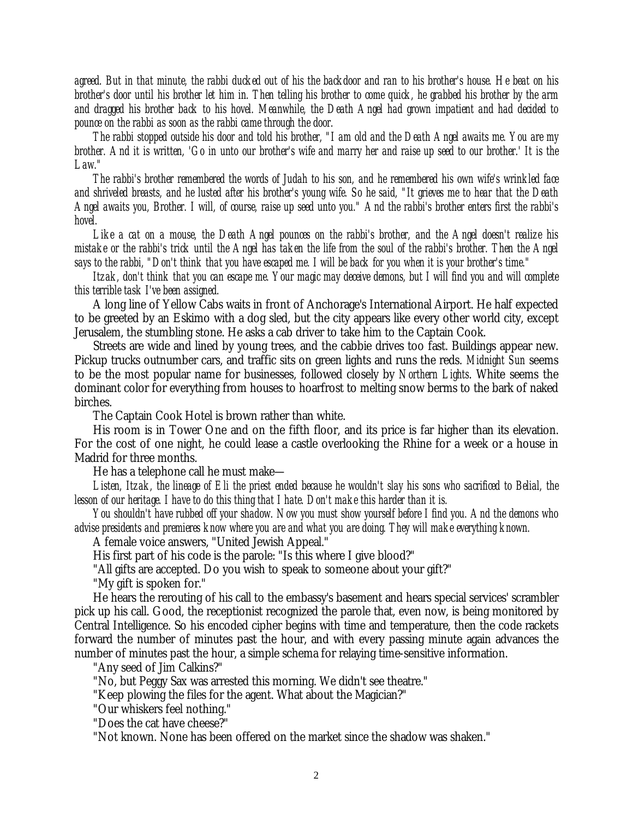*agreed. But in that minute, the rabbi ducked out of his the backdoor and ran to his brother's house. He beat on his brother's door until his brother let him in. Then telling his brother to come quick, he grabbed his brother by the arm and dragged his brother back to his hovel. Meanwhile, the Death Angel had grown impatient and had decided to pounce on the rabbi as soon as the rabbi came through the door.*

*The rabbi stopped outside his door and told his brother, "I am old and the Death Angel awaits me. You are my brother. And it is written, 'Go in unto our brother's wife and marry her and raise up seed to our brother.' It is the Law."*

*The rabbi's brother remembered the words of Judah to his son, and he remembered his own wife's wrinkled face and shriveled breasts, and he lusted after his brother's young wife. So he said, "It grieves me to hear that the Death Angel awaits you, Brother. I will, of course, raise up seed unto you." And the rabbi's brother enters first the rabbi's hovel.*

*Like a cat on a mouse, the Death Angel pounces on the rabbi's brother, and the Angel doesn't realize his mistake or the rabbi's trick until the Angel has taken the life from the soul of the rabbi's brother. Then the Angel says to the rabbi, "Don't think that you have escaped me. I will be back for you when it is your brother's time."*

*Itzak, don't think that you can escape me. Your magic may deceive demons, but I will find you and will complete this terrible task I've been assigned.*

A long line of Yellow Cabs waits in front of Anchorage's International Airport. He half expected to be greeted by an Eskimo with a dog sled, but the city appears like every other world city, except Jerusalem, the stumbling stone. He asks a cab driver to take him to the Captain Cook.

Streets are wide and lined by young trees, and the cabbie drives too fast. Buildings appear new. Pickup trucks outnumber cars, and traffic sits on green lights and runs the reds. *Midnight Sun* seems to be the most popular name for businesses, followed closely by *Northern Lights*. White seems the dominant color for everything from houses to hoarfrost to melting snow berms to the bark of naked birches.

The Captain Cook Hotel is brown rather than white.

His room is in Tower One and on the fifth floor, and its price is far higher than its elevation. For the cost of one night, he could lease a castle overlooking the Rhine for a week or a house in Madrid for three months.

He has a telephone call he must make—

*Listen, Itzak, the lineage of Eli the priest ended because he wouldn't slay his sons who sacrificed to Belial, the lesson of our heritage. I have to do this thing that I hate. Don't make this harder than it is.*

*You shouldn't have rubbed off your shadow. Now you must show yourself before I find you. And the demons who advise presidents and premieres know where you are and what you are doing. They will make everything known.*

A female voice answers, "United Jewish Appeal."

His first part of his code is the parole: "Is this where I give blood?"

"All gifts are accepted. Do you wish to speak to someone about your gift?"

"My gift is spoken for."

He hears the rerouting of his call to the embassy's basement and hears special services' scrambler pick up his call. Good, the receptionist recognized the parole that, even now, is being monitored by Central Intelligence. So his encoded cipher begins with time and temperature, then the code rackets forward the number of minutes past the hour, and with every passing minute again advances the number of minutes past the hour, a simple schema for relaying time-sensitive information.

"Any seed of Jim Calkins?"

"No, but Peggy Sax was arrested this morning. We didn't see theatre."

"Keep plowing the files for the agent. What about the Magician?"

"Our whiskers feel nothing."

"Does the cat have cheese?"

"Not known. None has been offered on the market since the shadow was shaken."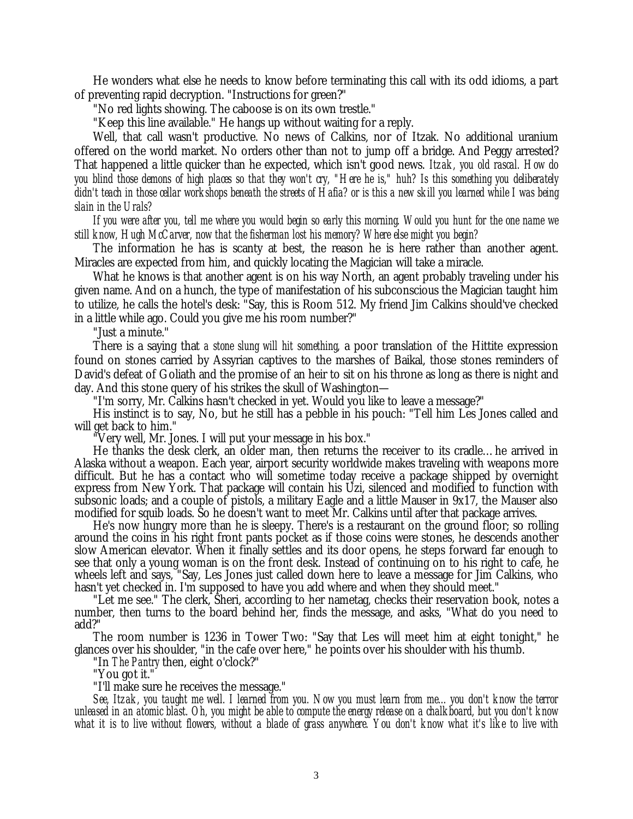He wonders what else he needs to know before terminating this call with its odd idioms, a part of preventing rapid decryption. "Instructions for green?"

"No red lights showing. The caboose is on its own trestle."

"Keep this line available." He hangs up without waiting for a reply.

Well, that call wasn't productive. No news of Calkins, nor of Itzak. No additional uranium offered on the world market. No orders other than not to jump off a bridge. And Peggy arrested? That happened a little quicker than he expected, which isn't good news. *Itzak, you old rascal. How do you blind those demons of high places so that they won't cry, "Here he is," huh? Is this something you deliberately didn't teach in those cellar workshops beneath the streets of Hafia? or is this a new skill you learned while I was being slain in the Urals?*

*If you were after you, tell me where you would begin so early this morning. Would you hunt for the one name we still know, Hugh McCarver, now that the fisherman lost his memory? Where else might you begin?*

The information he has is scanty at best, the reason he is here rather than another agent. Miracles are expected from him, and quickly locating the Magician will take a miracle.

What he knows is that another agent is on his way North, an agent probably traveling under his given name. And on a hunch, the type of manifestation of his subconscious the Magician taught him to utilize, he calls the hotel's desk: "Say, this is Room 512. My friend Jim Calkins should've checked in a little while ago. Could you give me his room number?"

"Just a minute."

There is a saying that *a stone slung will hit something*, a poor translation of the Hittite expression found on stones carried by Assyrian captives to the marshes of Baikal, those stones reminders of David's defeat of Goliath and the promise of an heir to sit on his throne as long as there is night and day. And this stone query of his strikes the skull of Washington—

"I'm sorry, Mr. Calkins hasn't checked in yet. Would you like to leave a message?"

His instinct is to say, No, but he still has a pebble in his pouch: "Tell him Les Jones called and will get back to him."

"Very well, Mr. Jones. I will put your message in his box."

He thanks the desk clerk, an older man, then returns the receiver to its cradle… he arrived in Alaska without a weapon. Each year, airport security worldwide makes traveling with weapons more difficult. But he has a contact who will sometime today receive a package shipped by overnight express from New York. That package will contain his Uzi, silenced and modified to function with subsonic loads; and a couple of pistols, a military Eagle and a little Mauser in 9x17, the Mauser also modified for squib loads. So he doesn't want to meet Mr. Calkins until after that package arrives.

He's now hungry more than he is sleepy. There's is a restaurant on the ground floor; so rolling around the coins in his right front pants pocket as if those coins were stones, he descends another slow American elevator. When it finally settles and its door opens, he steps forward far enough to see that only a young woman is on the front desk. Instead of continuing on to his right to cafe, he wheels left and says, "Say, Les Jones just called down here to leave a message for Jim Calkins, who hasn't yet checked in. I'm supposed to have you add where and when they should meet."

"Let me see." The clerk, Sheri, according to her nametag, checks their reservation book, notes a number, then turns to the board behind her, finds the message, and asks, "What do you need to add?"

The room number is 1236 in Tower Two: "Say that Les will meet him at eight tonight," he glances over his shoulder, "in the cafe over here," he points over his shoulder with his thumb.

"In *The Pantry* then, eight o'clock?"

"You got it."

"I'll make sure he receives the message."

*See, Itzak, you taught me well. I learned from you. Now you must learn from me… you don't know the terror unleased in an atomic blast. Oh, you might be able to compute the energy release on a chalkboard, but you don't know what it is to live without flowers, without a blade of grass anywhere. You don't know what it's like to live with*